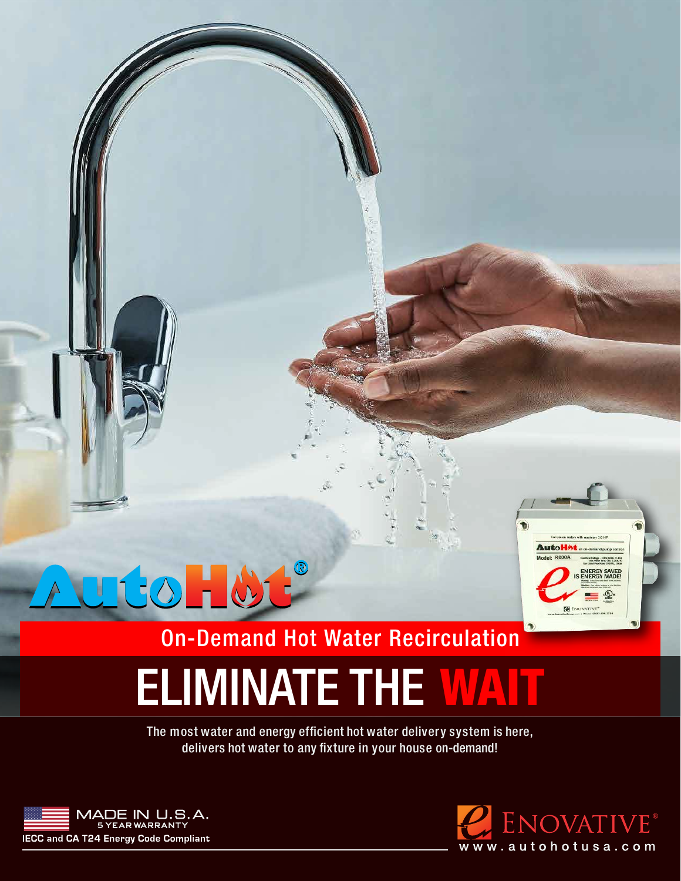

### On-Demand Hot Water Recirculation

# ELIMINATE THE WAT

delivers hot water to any fixture in your house on-demand! The most water and energy efficient hot water delivery system is here,



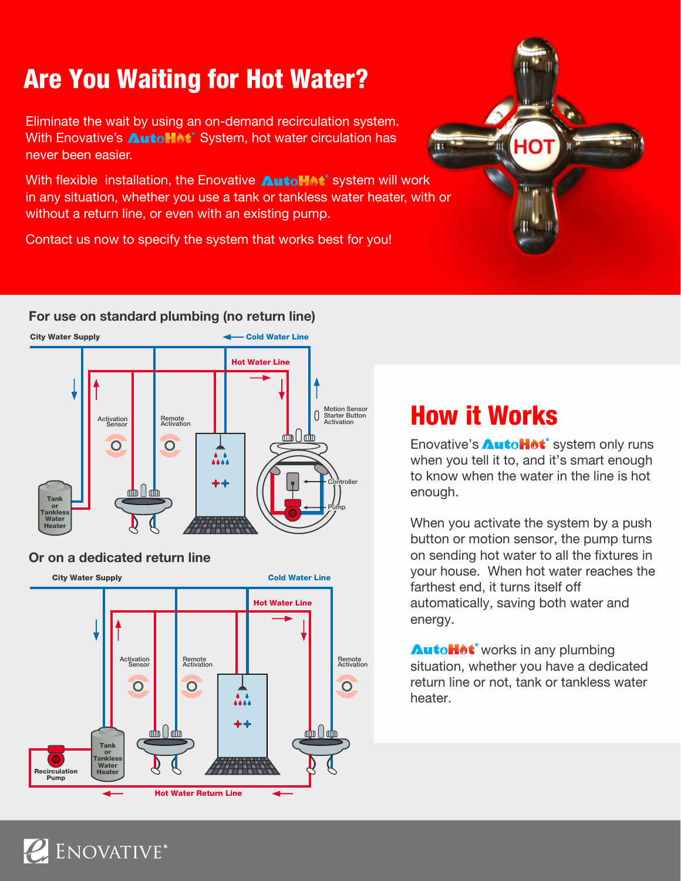# Are You Waiting for Hot Water?

Eliminate the wait by using an on-demand recirculation system. With Enovative's **AutoHMt**<sup>®</sup> System, hot water circulation has never been easier.

With flexible installation, the Enovative **Autollet**® system will work in any situation, whether you use a tank or tankless water heater, with or without a return line, or even with an existing pump.

Contact us now to specify the system that works best for you!



#### **For use on standard plumbing (no return line)**





ENOVATIVE®



#### How it Works

Enovative's **AutoHot**<sup>®</sup> system only runs when you tell it to, and it's smart enough to know when the water in the line is hot enough.

When you activate the system by a push button or motion sensor, the pump turns on sending hot water to all the fixtures in your house. When hot water reaches the farthest end, it turns itself off automatically, saving both water and energy.

**AutoHot**<sup>°</sup> works in any plumbing situation, whether you have a dedicated return line or not, tank or tankless water heater.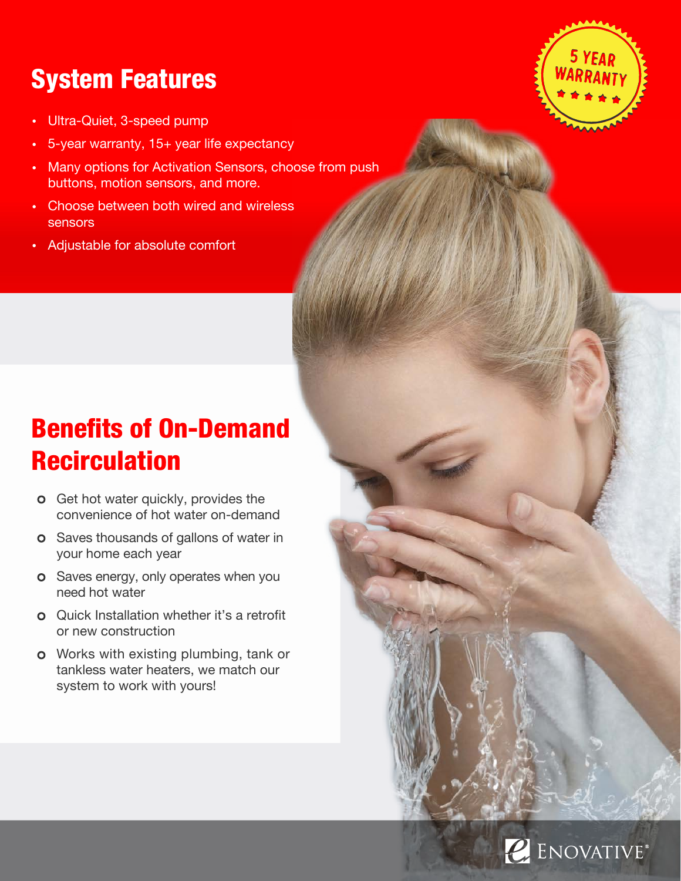## System Features

- Ultra-Quiet, 3-speed pump
- 5-year warranty, 15+ year life expectancy
- Many options for Activation Sensors, choose from push buttons, motion sensors, and more.
- Choose between both wired and wireless sensors
- Adjustable for absolute comfort

# Benefits of On-Demand **Recirculation**

- **o** Get hot water quickly, provides the convenience of hot water on-demand
- **o** Saves thousands of gallons of water in your home each year
- o Saves energy, only operates when you need hot water
- Quick Installation whether it's a retrofit or new construction
- **o** Works with existing plumbing, tank or tankless water heaters, we match our system to work with yours!



# E ENOVATIVE